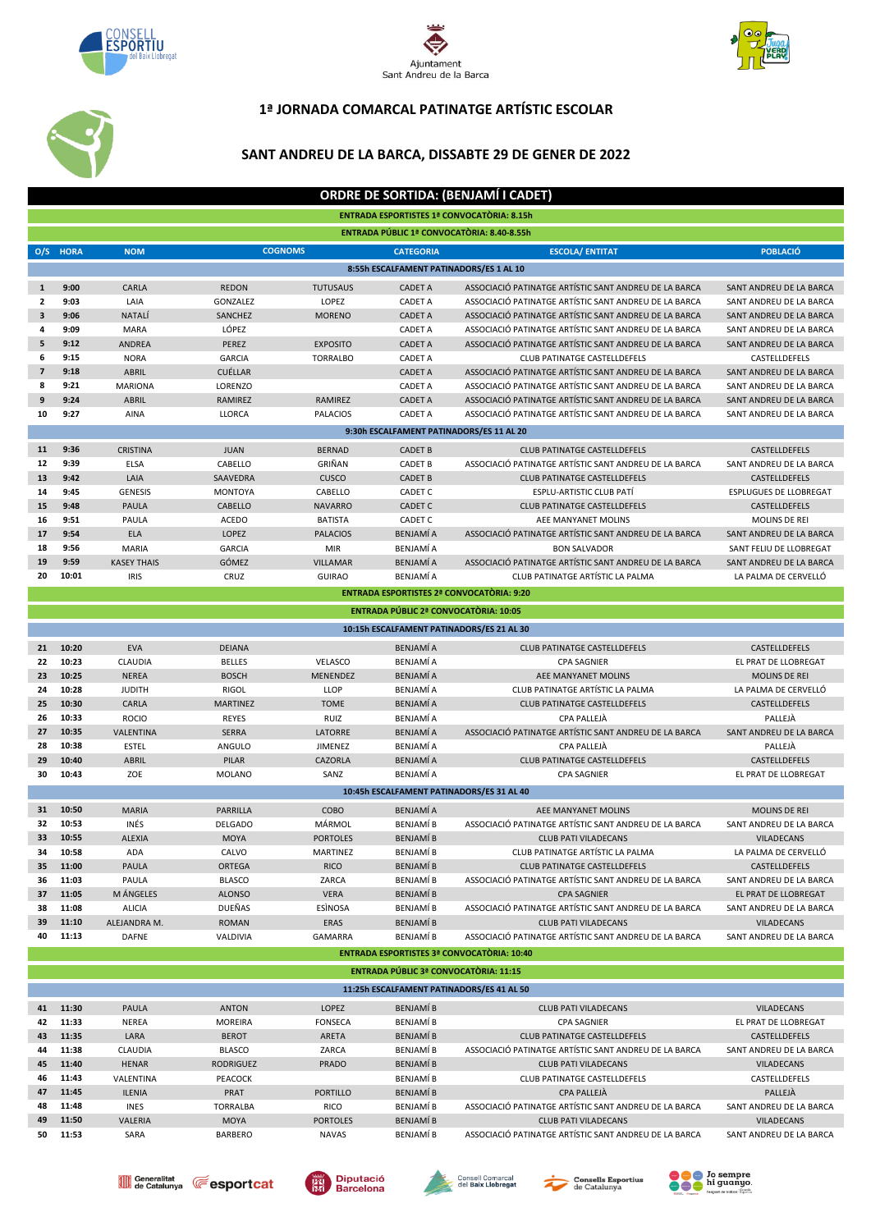





## **1ª JORNADA COMARCAL PATINATGE ARTÍSTIC ESCOLAR**

## **SANT ANDREU DE LA BARCA, DISSABTE 29 DE GENER DE 2022**

|                                          |                |                              |                               |                 |                                                   | <b>ORDRE DE SORTIDA: (BENJAMÍ I CADET)</b>                                  |                                              |  |  |  |  |  |  |
|------------------------------------------|----------------|------------------------------|-------------------------------|-----------------|---------------------------------------------------|-----------------------------------------------------------------------------|----------------------------------------------|--|--|--|--|--|--|
|                                          |                |                              |                               |                 | <b>ENTRADA ESPORTISTES 1ª CONVOCATÒRIA: 8.15h</b> |                                                                             |                                              |  |  |  |  |  |  |
|                                          |                |                              |                               |                 | ENTRADA PÚBLIC 1ª CONVOCATÒRIA: 8.40-8.55h        |                                                                             |                                              |  |  |  |  |  |  |
|                                          |                |                              |                               |                 |                                                   |                                                                             |                                              |  |  |  |  |  |  |
|                                          | O/S HORA       | <b>NOM</b>                   | <b>COGNOMS</b>                |                 | <b>CATEGORIA</b>                                  | <b>ESCOLA/ ENTITAT</b>                                                      | <b>POBLACIÓ</b>                              |  |  |  |  |  |  |
| 8:55h ESCALFAMENT PATINADORS/ES 1 AL 10  |                |                              |                               |                 |                                                   |                                                                             |                                              |  |  |  |  |  |  |
| $\mathbf{1}$                             | 9:00           | CARLA                        | <b>REDON</b>                  | <b>TUTUSAUS</b> | <b>CADET A</b>                                    | ASSOCIACIÓ PATINATGE ARTÍSTIC SANT ANDREU DE LA BARCA                       | SANT ANDREU DE LA BARCA                      |  |  |  |  |  |  |
| $\mathbf{2}$                             | 9:03           | LAIA                         | GONZALEZ                      | LOPEZ           | <b>CADET A</b>                                    | ASSOCIACIÓ PATINATGE ARTÍSTIC SANT ANDREU DE LA BARCA                       | SANT ANDREU DE LA BARCA                      |  |  |  |  |  |  |
| 3                                        | 9:06           | NATALÍ                       | SANCHEZ                       | <b>MORENO</b>   | <b>CADET A</b>                                    | ASSOCIACIÓ PATINATGE ARTÍSTIC SANT ANDREU DE LA BARCA                       | SANT ANDREU DE LA BARCA                      |  |  |  |  |  |  |
| 4                                        | 9:09           | <b>MARA</b>                  | LÓPEZ                         |                 | <b>CADET A</b>                                    | ASSOCIACIÓ PATINATGE ARTÍSTIC SANT ANDREU DE LA BARCA                       | SANT ANDREU DE LA BARCA                      |  |  |  |  |  |  |
| 5                                        | 9:12           | ANDREA                       | PEREZ                         | <b>EXPOSITO</b> | <b>CADET A</b>                                    | ASSOCIACIÓ PATINATGE ARTÍSTIC SANT ANDREU DE LA BARCA                       | SANT ANDREU DE LA BARCA                      |  |  |  |  |  |  |
| 6                                        | 9:15           | <b>NORA</b>                  | <b>GARCIA</b>                 | <b>TORRALBO</b> | <b>CADET A</b>                                    | <b>CLUB PATINATGE CASTELLDEFELS</b>                                         | CASTELLDEFELS                                |  |  |  |  |  |  |
| $\overline{7}$                           | 9:18           | <b>ABRIL</b>                 | <b>CUÉLLAR</b>                |                 | <b>CADET A</b>                                    | ASSOCIACIÓ PATINATGE ARTÍSTIC SANT ANDREU DE LA BARCA                       | SANT ANDREU DE LA BARCA                      |  |  |  |  |  |  |
| 8                                        | 9:21           | <b>MARIONA</b>               | LORENZO                       |                 | <b>CADET A</b>                                    | ASSOCIACIÓ PATINATGE ARTÍSTIC SANT ANDREU DE LA BARCA                       | SANT ANDREU DE LA BARCA                      |  |  |  |  |  |  |
| 9                                        | 9:24           | <b>ABRIL</b>                 | <b>RAMIREZ</b>                | RAMIREZ         | <b>CADET A</b>                                    | ASSOCIACIÓ PATINATGE ARTÍSTIC SANT ANDREU DE LA BARCA                       | SANT ANDREU DE LA BARCA                      |  |  |  |  |  |  |
| 10                                       | 9:27           | AINA                         | LLORCA                        | <b>PALACIOS</b> | <b>CADET A</b>                                    | ASSOCIACIÓ PATINATGE ARTÍSTIC SANT ANDREU DE LA BARCA                       | SANT ANDREU DE LA BARCA                      |  |  |  |  |  |  |
| 9:30h ESCALFAMENT PATINADORS/ES 11 AL 20 |                |                              |                               |                 |                                                   |                                                                             |                                              |  |  |  |  |  |  |
| 11                                       | 9:36           | <b>CRISTINA</b>              | <b>JUAN</b>                   | <b>BERNAD</b>   | <b>CADET B</b>                                    | <b>CLUB PATINATGE CASTELLDEFELS</b>                                         | CASTELLDEFELS                                |  |  |  |  |  |  |
| 12                                       | 9:39           | ELSA                         | CABELLO                       | GRIÑAN          | <b>CADET B</b>                                    | ASSOCIACIÓ PATINATGE ARTÍSTIC SANT ANDREU DE LA BARCA                       | SANT ANDREU DE LA BARCA                      |  |  |  |  |  |  |
| 13                                       | 9:42           | LAIA                         | SAAVEDRA                      | CUSCO           | <b>CADET B</b>                                    | <b>CLUB PATINATGE CASTELLDEFELS</b>                                         | CASTELLDEFELS                                |  |  |  |  |  |  |
| 14                                       | 9:45           | <b>GENESIS</b>               | <b>MONTOYA</b>                | CABELLO         | CADET C                                           | ESPLU-ARTISTIC CLUB PATÍ                                                    | <b>ESPLUGUES DE LLOBREGAT</b>                |  |  |  |  |  |  |
| 15                                       | 9:48           | <b>PAULA</b>                 | CABELLO                       | <b>NAVARRO</b>  | <b>CADET C</b>                                    | <b>CLUB PATINATGE CASTELLDEFELS</b>                                         | CASTELLDEFELS                                |  |  |  |  |  |  |
| 16                                       | 9:51           | PAULA                        | <b>ACEDO</b>                  | <b>BATISTA</b>  | CADET C                                           | AEE MANYANET MOLINS                                                         | MOLINS DE REI                                |  |  |  |  |  |  |
| 17                                       | 9:54           | <b>ELA</b>                   | LOPEZ                         | <b>PALACIOS</b> | <b>BENJAMÍA</b>                                   | ASSOCIACIÓ PATINATGE ARTÍSTIC SANT ANDREU DE LA BARCA                       | SANT ANDREU DE LA BARCA                      |  |  |  |  |  |  |
| 18                                       | 9:56           | MARIA                        | <b>GARCIA</b>                 | <b>MIR</b>      | BENJAMÍ A                                         | <b>BON SALVADOR</b>                                                         | SANT FELIU DE LLOBREGAT                      |  |  |  |  |  |  |
| 19                                       | 9:59           | <b>KASEY THAIS</b>           | GÓMEZ                         | <b>VILLAMAR</b> | <b>BENJAMÍA</b>                                   | ASSOCIACIÓ PATINATGE ARTÍSTIC SANT ANDREU DE LA BARCA                       | SANT ANDREU DE LA BARCA                      |  |  |  |  |  |  |
| 20                                       | 10:01          | <b>IRIS</b>                  | CRUZ                          | <b>GUIRAO</b>   | BENJAMI A                                         | CLUB PATINATGE ARTÍSTIC LA PALMA                                            | LA PALMA DE CERVELLÓ                         |  |  |  |  |  |  |
|                                          |                |                              |                               |                 | <b>ENTRADA ESPORTISTES 2ª CONVOCATÒRIA: 9:20</b>  |                                                                             |                                              |  |  |  |  |  |  |
|                                          |                |                              |                               |                 | ENTRADA PÚBLIC 2ª CONVOCATÒRIA: 10:05             |                                                                             |                                              |  |  |  |  |  |  |
|                                          |                |                              |                               |                 | 10:15h ESCALFAMENT PATINADORS/ES 21 AL 30         |                                                                             |                                              |  |  |  |  |  |  |
|                                          |                |                              |                               |                 |                                                   |                                                                             |                                              |  |  |  |  |  |  |
| 21<br>22                                 | 10:20<br>10:23 | <b>EVA</b><br><b>CLAUDIA</b> | <b>DEIANA</b>                 | VELASCO         | <b>BENJAMÍA</b><br>BENJAMÍ A                      | <b>CLUB PATINATGE CASTELLDEFELS</b>                                         | CASTELLDEFELS<br>EL PRAT DE LLOBREGAT        |  |  |  |  |  |  |
| 23                                       | 10:25          | <b>NEREA</b>                 | <b>BELLES</b><br><b>BOSCH</b> | <b>MENENDEZ</b> | <b>BENJAMÍA</b>                                   | <b>CPA SAGNIER</b><br>AEE MANYANET MOLINS                                   | <b>MOLINS DE REI</b>                         |  |  |  |  |  |  |
| 24                                       | 10:28          | <b>JUDITH</b>                | <b>RIGOL</b>                  | <b>LLOP</b>     | BENJAMÍ A                                         | CLUB PATINATGE ARTÍSTIC LA PALMA                                            | LA PALMA DE CERVELLÓ                         |  |  |  |  |  |  |
| 25                                       | 10:30          | CARLA                        | <b>MARTINEZ</b>               | <b>TOME</b>     | <b>BENJAMÍA</b>                                   | <b>CLUB PATINATGE CASTELLDEFELS</b>                                         | CASTELLDEFELS                                |  |  |  |  |  |  |
| 26                                       | 10:33          | <b>ROCIO</b>                 | <b>REYES</b>                  | RUIZ            | <b>BENJAMÍA</b>                                   | CPA PALLEJÀ                                                                 | PALLEJÀ                                      |  |  |  |  |  |  |
| 27                                       | 10:35          | VALENTINA                    | <b>SERRA</b>                  | LATORRE         | <b>BENJAMÍA</b>                                   | ASSOCIACIÓ PATINATGE ARTÍSTIC SANT ANDREU DE LA BARCA                       | SANT ANDREU DE LA BARCA                      |  |  |  |  |  |  |
| 28                                       | 10:38          | <b>ESTEL</b>                 | ANGULO                        | JIMENEZ         | <b>BENJAMÍA</b>                                   | CPA PALLEJÀ                                                                 | PALLEJÀ                                      |  |  |  |  |  |  |
| 29                                       | 10:40          | <b>ABRIL</b>                 | PILAR                         | CAZORLA         | <b>BENJAMÍA</b>                                   | <b>CLUB PATINATGE CASTELLDEFELS</b>                                         | CASTELLDEFELS                                |  |  |  |  |  |  |
| 30                                       | 10:43          | ZOE                          | <b>MOLANO</b>                 | SANZ            | BENJAMÍ A                                         | <b>CPA SAGNIER</b>                                                          | EL PRAT DE LLOBREGAT                         |  |  |  |  |  |  |
|                                          |                |                              |                               |                 | 10:45h ESCALFAMENT PATINADORS/ES 31 AL 40         |                                                                             |                                              |  |  |  |  |  |  |
|                                          |                |                              |                               |                 |                                                   |                                                                             |                                              |  |  |  |  |  |  |
| 31                                       | 10:50          | <b>MARIA</b>                 | <b>PARRILLA</b>               | COBO            | <b>BENJAMÍA</b>                                   | AFE MANYANET MOLINS                                                         | <b>MOLINS DE REI</b>                         |  |  |  |  |  |  |
| 32                                       | 10:53          | INÉS                         | <b>DELGADO</b>                | MÁRMOL          | <b>BENJAMÍB</b>                                   | ASSOCIACIÓ PATINATGE ARTÍSTIC SANT ANDREU DE LA BARCA                       | SANT ANDREU DE LA BARCA                      |  |  |  |  |  |  |
| 33                                       | 10:55          | <b>ALEXIA</b>                | <b>MOYA</b>                   | <b>PORTOLES</b> | <b>BENJAMÍ B</b>                                  | <b>CLUB PATI VILADECANS</b>                                                 | <b>VILADECANS</b>                            |  |  |  |  |  |  |
| 34                                       | 10:58          | ADA                          | CALVO                         | MARTINEZ        | BENJAMÍ B                                         | CLUB PATINATGE ARTÍSTIC LA PALMA                                            | LA PALMA DE CERVELLO                         |  |  |  |  |  |  |
| 35 <sub>2</sub>                          | 11:00          | PAULA                        | <b>ORTEGA</b>                 | <b>RICO</b>     | <b>BENJAMÍB</b>                                   | <b>CLUB PATINATGE CASTELLDEFELS</b>                                         | CASTELLDEFELS                                |  |  |  |  |  |  |
| 36<br>37                                 | 11:03<br>11:05 | PAULA                        | <b>BLASCO</b>                 | ZARCA           | BENJAMÍ B                                         | ASSOCIACIÓ PATINATGE ARTÍSTIC SANT ANDREU DE LA BARCA                       | SANT ANDREU DE LA BARCA                      |  |  |  |  |  |  |
| 38                                       | 11:08          | M ÁNGELES<br><b>ALICIA</b>   | <b>ALONSO</b><br>DUEÑAS       | VERA<br>ESÌNOSA | <b>BENJAMÍB</b><br>BENJAMÍ B                      | <b>CPA SAGNIER</b><br>ASSOCIACIÓ PATINATGE ARTÍSTIC SANT ANDREU DE LA BARCA | EL PRAT DE LLOBREGAT                         |  |  |  |  |  |  |
| 39                                       | 11:10          | ALEJANDRA M.                 | <b>ROMAN</b>                  | ERAS            | <b>BENJAMÍB</b>                                   | <b>CLUB PATI VILADECANS</b>                                                 | SANT ANDREU DE LA BARCA<br><b>VILADECANS</b> |  |  |  |  |  |  |
| 40                                       | 11:13          | DAFNE                        | VALDIVIA                      | GAMARRA         | BENJAMÍ B                                         | ASSOCIACIÓ PATINATGE ARTÍSTIC SANT ANDREU DE LA BARCA                       | SANT ANDREU DE LA BARCA                      |  |  |  |  |  |  |
|                                          |                |                              |                               |                 |                                                   |                                                                             |                                              |  |  |  |  |  |  |
|                                          |                |                              |                               |                 | ENTRADA ESPORTISTES 3ª CONVOCATÒRIA: 10:40        |                                                                             |                                              |  |  |  |  |  |  |
|                                          |                |                              |                               |                 | ENTRADA PÚBLIC 3ª CONVOCATÒRIA: 11:15             |                                                                             |                                              |  |  |  |  |  |  |
|                                          |                |                              |                               |                 | 11:25h ESCALFAMENT PATINADORS/ES 41 AL 50         |                                                                             |                                              |  |  |  |  |  |  |
|                                          | 41 11:30       | PAULA                        | <b>ANTON</b>                  | LOPEZ           | BENJAMÍ B                                         | <b>CLUB PATI VILADECANS</b>                                                 | <b>VILADECANS</b>                            |  |  |  |  |  |  |
| 42                                       | 11:33          | <b>NEREA</b>                 | <b>MOREIRA</b>                | <b>FONSECA</b>  | BENJAMÍ B                                         | <b>CPA SAGNIER</b>                                                          | EL PRAT DE LLOBREGAT                         |  |  |  |  |  |  |
| 43                                       | 11:35          | LARA                         | <b>BEROT</b>                  | ARETA           | <b>BENJAMÍB</b>                                   | CLUB PATINATGE CASTELLDEFELS                                                | CASTELLDEFELS                                |  |  |  |  |  |  |
| 44                                       | 11:38          | CLAUDIA                      | <b>BLASCO</b>                 | ZARCA           | BENJAMÍ B                                         | ASSOCIACIÓ PATINATGE ARTÍSTIC SANT ANDREU DE LA BARCA                       | SANT ANDREU DE LA BARCA                      |  |  |  |  |  |  |
| 45                                       | 11:40          | <b>HENAR</b>                 | <b>RODRIGUEZ</b>              | PRADO           | <b>BENJAMÍB</b>                                   | <b>CLUB PATI VILADECANS</b>                                                 | <b>VILADECANS</b>                            |  |  |  |  |  |  |
| 46                                       | 11:43          | VALENTINA                    | PEACOCK                       |                 | <b>BENJAMÍB</b>                                   | <b>CLUB PATINATGE CASTELLDEFELS</b>                                         | CASTELLDEFELS                                |  |  |  |  |  |  |
| 47                                       | 11:45          | ILENIA                       | PRAT                          | <b>PORTILLO</b> | BENJAMÍ B                                         | CPA PALLEJÀ                                                                 | PALLEJÀ                                      |  |  |  |  |  |  |
| 48                                       | 11:48          | <b>INES</b>                  | <b>TORRALBA</b>               | <b>RICO</b>     | BENJAMÍ B                                         | ASSOCIACIÓ PATINATGE ARTÍSTIC SANT ANDREU DE LA BARCA                       | SANT ANDREU DE LA BARCA                      |  |  |  |  |  |  |

 **11:50** VALERIA MOYA PORTOLES BENJAMÍ B CLUB PATI VILADECANS VILADECANS **50 <b>11:53** SARA BARBERO NAVAS BENJAMÍ B ASSOCIACIÓ PATINATGE ARTÍSTIC SANT ANDREU DE LA BARCA SANT ANDREU DE LA BARCA









國

$$
\blacksquare^{\text{Generalitat}}_{\text{de Catalunya}} \quad \textcolor{red}{\mathcal{C}^{\text{=}}\text{esportcat}}
$$